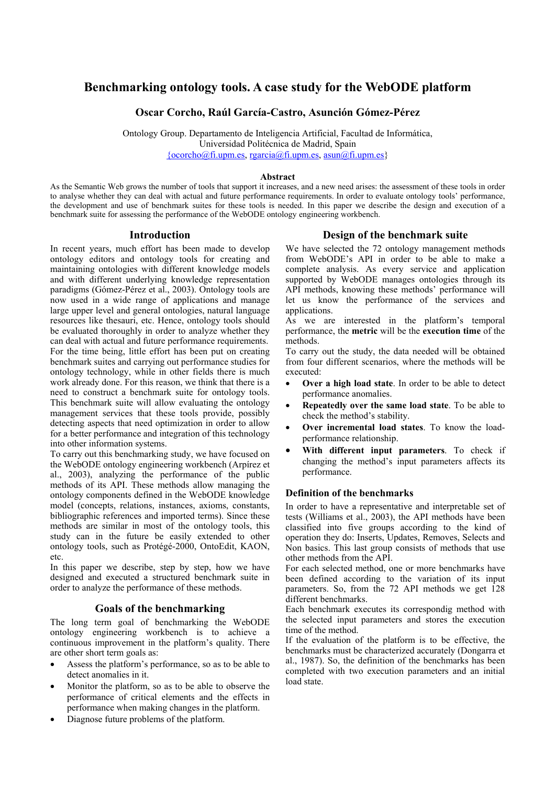# **Benchmarking ontology tools. A case study for the WebODE platform**

# **Oscar Corcho, Raúl García-Castro, Asunción Gómez-Pérez**

Ontology Group. Departamento de Inteligencia Artificial, Facultad de Informática, Universidad Politécnica de Madrid, Spain  ${ocorcho@fi. upp n. es. rgarcia@fi. upp n. es. asun@fi. upp n. es}$ 

#### **Abstract**

As the Semantic Web grows the number of tools that support it increases, and a new need arises: the assessment of these tools in order to analyse whether they can deal with actual and future performance requirements. In order to evaluate ontology tools' performance, the development and use of benchmark suites for these tools is needed. In this paper we describe the design and execution of a benchmark suite for assessing the performance of the WebODE ontology engineering workbench.

### **Introduction**

In recent years, much effort has been made to develop ontology editors and ontology tools for creating and maintaining ontologies with different knowledge models and with different underlying knowledge representation paradigms (Gómez-Pérez et al., 2003). Ontology tools are now used in a wide range of applications and manage large upper level and general ontologies, natural language resources like thesauri, etc. Hence, ontology tools should be evaluated thoroughly in order to analyze whether they can deal with actual and future performance requirements. For the time being, little effort has been put on creating benchmark suites and carrying out performance studies for ontology technology, while in other fields there is much work already done. For this reason, we think that there is a need to construct a benchmark suite for ontology tools. This benchmark suite will allow evaluating the ontology management services that these tools provide, possibly detecting aspects that need optimization in order to allow for a better performance and integration of this technology into other information systems.

To carry out this benchmarking study, we have focused on the WebODE ontology engineering workbench (Arpírez et al., 2003), analyzing the performance of the public methods of its API. These methods allow managing the ontology components defined in the WebODE knowledge model (concepts, relations, instances, axioms, constants, bibliographic references and imported terms). Since these methods are similar in most of the ontology tools, this study can in the future be easily extended to other ontology tools, such as Protégé-2000, OntoEdit, KAON, etc.

In this paper we describe, step by step, how we have designed and executed a structured benchmark suite in order to analyze the performance of these methods.

## **Goals of the benchmarking**

The long term goal of benchmarking the WebODE ontology engineering workbench is to achieve a continuous improvement in the platform's quality. There are other short term goals as:

- Assess the platform's performance, so as to be able to detect anomalies in it.
- Monitor the platform, so as to be able to observe the performance of critical elements and the effects in performance when making changes in the platform.
- Diagnose future problems of the platform.

# **Design of the benchmark suite**

We have selected the 72 ontology management methods from WebODE's API in order to be able to make a complete analysis. As every service and application supported by WebODE manages ontologies through its API methods, knowing these methods' performance will let us know the performance of the services and applications.

As we are interested in the platform's temporal performance, the **metric** will be the **execution time** of the methods.

To carry out the study, the data needed will be obtained from four different scenarios, where the methods will be executed:

- **Over a high load state**. In order to be able to detect performance anomalies.
- **Repeatedly over the same load state**. To be able to check the method's stability.
- **Over incremental load states**. To know the loadperformance relationship.
- **With different input parameters**. To check if changing the method's input parameters affects its performance.

### **Definition of the benchmarks**

In order to have a representative and interpretable set of tests (Williams et al., 2003), the API methods have been classified into five groups according to the kind of operation they do: Inserts, Updates, Removes, Selects and Non basics. This last group consists of methods that use other methods from the API.

For each selected method, one or more benchmarks have been defined according to the variation of its input parameters. So, from the 72 API methods we get 128 different benchmarks.

Each benchmark executes its correspondig method with the selected input parameters and stores the execution time of the method.

If the evaluation of the platform is to be effective, the benchmarks must be characterized accurately (Dongarra et al., 1987). So, the definition of the benchmarks has been completed with two execution parameters and an initial load state.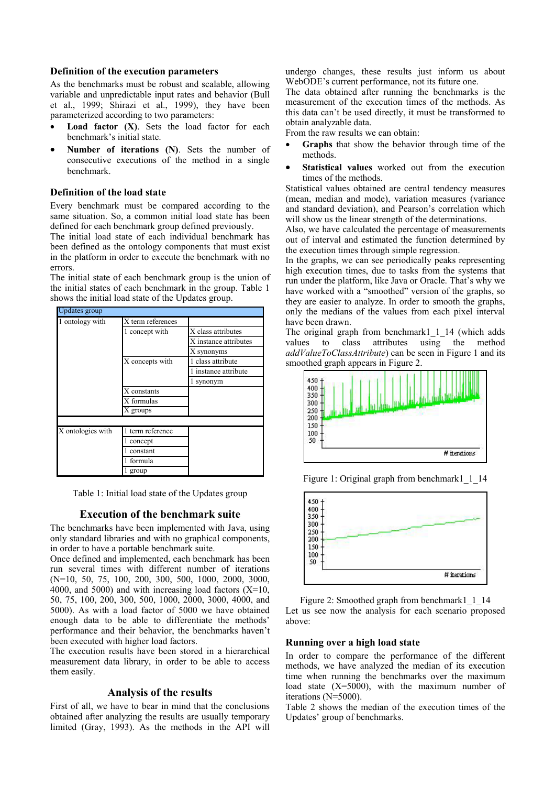# **Definition of the execution parameters**

As the benchmarks must be robust and scalable, allowing variable and unpredictable input rates and behavior (Bull et al., 1999; Shirazi et al., 1999), they have been parameterized according to two parameters:

- **Load factor (X)**. Sets the load factor for each benchmark's initial state.
- **Number of iterations (N)**. Sets the number of consecutive executions of the method in a single benchmark.

# **Definition of the load state**

Every benchmark must be compared according to the same situation. So, a common initial load state has been defined for each benchmark group defined previously.

The initial load state of each individual benchmark has been defined as the ontology components that must exist in the platform in order to execute the benchmark with no errors.

The initial state of each benchmark group is the union of the initial states of each benchmark in the group. Table 1 shows the initial load state of the Updates group.

| pdates group      |                     |                       |
|-------------------|---------------------|-----------------------|
| 1 ontology with   | X term references   |                       |
|                   | 1 concept with      | X class attributes    |
|                   |                     | X instance attributes |
|                   |                     | X synonyms            |
|                   | X concepts with     | 1 class attribute     |
|                   |                     | 1 instance attribute  |
|                   |                     | l synonym             |
|                   | X constants         |                       |
|                   | X formulas          |                       |
|                   | X groups            |                       |
|                   |                     |                       |
| X ontologies with | term reference<br>1 |                       |
|                   | concept             |                       |
|                   | constant            |                       |
|                   | formula             |                       |
|                   | group               |                       |

Table 1: Initial load state of the Updates group

## **Execution of the benchmark suite**

The benchmarks have been implemented with Java, using only standard libraries and with no graphical components, in order to have a portable benchmark suite.

Once defined and implemented, each benchmark has been run several times with different number of iterations (N=10, 50, 75, 100, 200, 300, 500, 1000, 2000, 3000, 4000, and 5000) and with increasing load factors  $(X=10, 10)$ 50, 75, 100, 200, 300, 500, 1000, 2000, 3000, 4000, and 5000). As with a load factor of 5000 we have obtained enough data to be able to differentiate the methods' performance and their behavior, the benchmarks haven't been executed with higher load factors.

The execution results have been stored in a hierarchical measurement data library, in order to be able to access them easily.

# **Analysis of the results**

First of all, we have to bear in mind that the conclusions obtained after analyzing the results are usually temporary limited (Gray, 1993). As the methods in the API will undergo changes, these results just inform us about WebODE's current performance, not its future one.

The data obtained after running the benchmarks is the measurement of the execution times of the methods. As this data can't be used directly, it must be transformed to obtain analyzable data.

From the raw results we can obtain:

- **Graphs** that show the behavior through time of the methods.
- **Statistical values** worked out from the execution times of the methods.

Statistical values obtained are central tendency measures (mean, median and mode), variation measures (variance and standard deviation), and Pearson's correlation which will show us the linear strength of the determinations.

Also, we have calculated the percentage of measurements out of interval and estimated the function determined by the execution times through simple regression.

In the graphs, we can see periodically peaks representing high execution times, due to tasks from the systems that run under the platform, like Java or Oracle. That's why we have worked with a "smoothed" version of the graphs, so they are easier to analyze. In order to smooth the graphs, only the medians of the values from each pixel interval have been drawn.

The original graph from benchmark1 1 14 (which adds values to class attributes using the method *addValueToClassAttribute*) can be seen in Figure 1 and its smoothed graph appears in Figure 2.



Figure 1: Original graph from benchmark1 1 14



Figure 2: Smoothed graph from benchmark1 1 14 Let us see now the analysis for each scenario proposed above:

### **Running over a high load state**

In order to compare the performance of the different methods, we have analyzed the median of its execution time when running the benchmarks over the maximum load state  $(X=5000)$ , with the maximum number of iterations (N=5000).

Table 2 shows the median of the execution times of the Updates' group of benchmarks.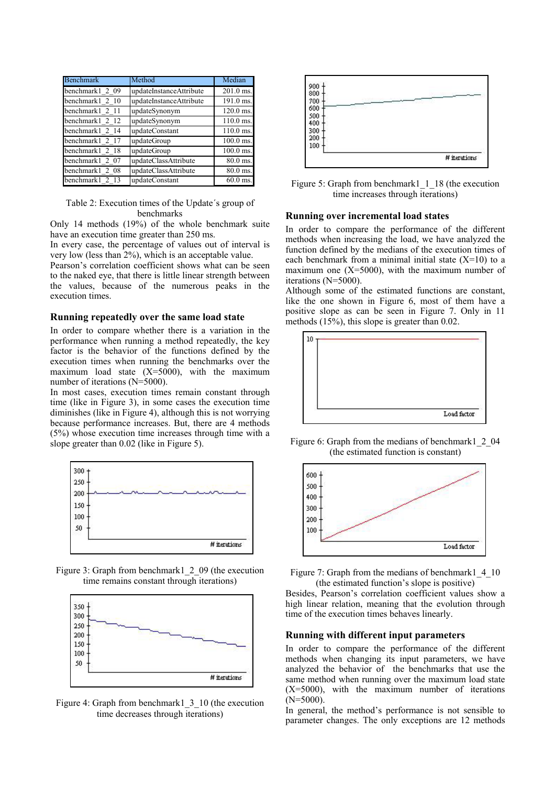| <b>Benchmark</b>   | Method                  | Median      |
|--------------------|-------------------------|-------------|
| benchmark1 2 09    | updateInstanceAttribute | 201.0 ms.   |
| benchmark1 2 10    | updateInstanceAttribute | 191.0 ms.   |
| benchmark1 2 11    | updateSynonym           | $120.0$ ms. |
| benchmark1 2<br>12 | updateSynonym           | $110.0$ ms. |
| benchmark1 2 14    | updateConstant          | 110.0 ms.   |
| benchmark1 2 17    | updateGroup             | $100.0$ ms. |
| benchmark1 2 18    | updateGroup             | 100.0 ms.   |
| benchmark1 2 07    | updateClassAttribute    | $80.0$ ms.  |
| benchmark1 2 08    | updateClassAttribute    | 80.0 ms.    |
| benchmark1 2       | updateConstant          | $60.0$ ms.  |

Table 2: Execution times of the Update´s group of

**Running over incremental load states**<br>
Only 14 methods (19%) of the whole benchmark suite<br> **Running over incremental load states** have an execution time greater than 250 ms.<br>In order to compare the performance of the different<br>that are an execution time greater than 250 ms.

In every case, the percentage of values out of interval is very low (less than 2%), which is an acceptable value.

Pearson's correlation coefficient shows what can be seen to the naked eye, that there is little linear strength between the values, because of the numerous peaks in the execution times.

In order to compare whether there is a variation in the performance when running a method repeatedly, the key factor is the behavior of the functions defined by the execution times when running the benchmarks over the maximum load state  $(X=5000)$ , with the maximum number of iterations (N=5000).

In most cases, execution times remain constant through time (like in Figure 3), in some cases the execution time diminishes (like in Figure 4), although this is not worrying because performance increases. But, there are 4 methods  $(5%)$  whose execution time increases through time with a slope greater than 0.02 (like in Figure 5).



Figure 3: Graph from benchmark1 2 09 (the execution time remains constant through iterations)



Figure 4: Graph from benchmark1\_3\_10 (the execution  $(N=5000)$ ).



Figure 5: Graph from benchmark1  $-1$  18 (the execution time increases through iterations)

methods when increasing the load, we have analyzed the function defined by the medians of the execution times of each benchmark from a minimal initial state  $(X=10)$  to a maximum one  $(X=5000)$ , with the maximum number of iterations (N=5000).

Although some of the estimated functions are constant, like the one shown in Figure 6, most of them have a positive slope as can be seen in Figure 7. Only in 11 **Running repeatedly over the same load state** entries between  $\frac{1}{2}$  methods (15%), this slope is greater than 0.02.



Figure 6: Graph from the medians of benchmark1 2 04 (the estimated function is constant)





Besides, Pearson's correlation coefficient values show a high linear relation, meaning that the evolution through time of the execution times behaves linearly.

### **Running with different input parameters**

In order to compare the performance of the different methods when changing its input parameters, we have analyzed the behavior of the benchmarks that use the same method when running over the maximum load state  $(X=5000)$ , with the maximum number of iterations

time decreases through iterations) In general, the method's performance is not sensible to parameter changes. The only exceptions are 12 methods